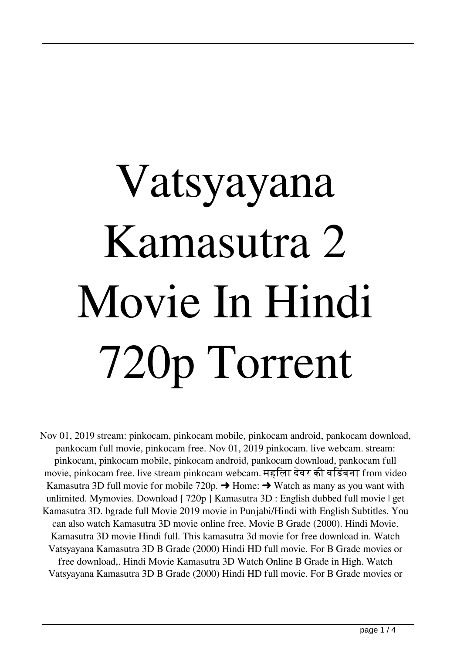## Vatsyayana Kamasutra 2 Movie In Hindi 720p Torrent

Nov 01, 2019 stream: pinkocam, pinkocam mobile, pinkocam android, pankocam download, pankocam full movie, pinkocam free. Nov 01, 2019 pinkocam. live webcam. stream: pinkocam, pinkocam mobile, pinkocam android, pankocam download, pankocam full movie, pinkocam free. live stream pinkocam webcam. महिला देवर की विडंबना from video Kamasutra 3D full movie for mobile 720p.  $\rightarrow$  Home:  $\rightarrow$  Watch as many as you want with unlimited. Mymovies. Download [ 720p ] Kamasutra 3D : English dubbed full movie | get Kamasutra 3D. bgrade full Movie 2019 movie in Punjabi/Hindi with English Subtitles. You can also watch Kamasutra 3D movie online free. Movie B Grade (2000). Hindi Movie. Kamasutra 3D movie Hindi full. This kamasutra 3d movie for free download in. Watch Vatsyayana Kamasutra 3D B Grade (2000) Hindi HD full movie. For B Grade movies or free download,. Hindi Movie Kamasutra 3D Watch Online B Grade in High. Watch Vatsyayana Kamasutra 3D B Grade (2000) Hindi HD full movie. For B Grade movies or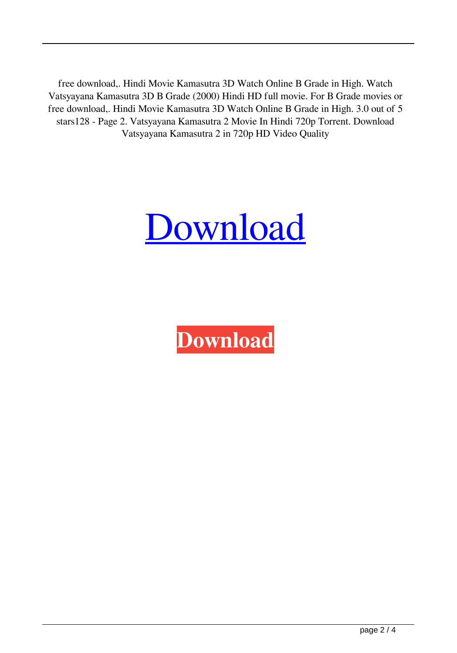free download,. Hindi Movie Kamasutra 3D Watch Online B Grade in High. Watch Vatsyayana Kamasutra 3D B Grade (2000) Hindi HD full movie. For B Grade movies or free download,. Hindi Movie Kamasutra 3D Watch Online B Grade in High. 3.0 out of 5 stars128 - Page 2. Vatsyayana Kamasutra 2 Movie In Hindi 720p Torrent. Download Vatsyayana Kamasutra 2 in 720p HD Video Quality



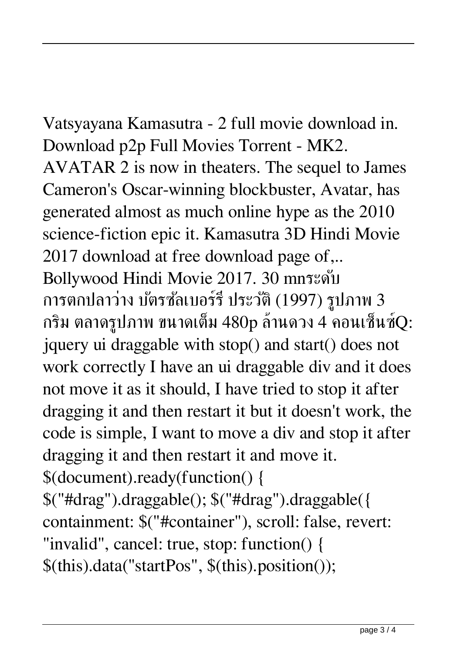Vatsyayana Kamasutra - 2 full movie download in. Download p2p Full Movies Torrent - MK2. AVATAR 2 is now in theaters. The sequel to James Cameron's Oscar-winning blockbuster, Avatar, has generated almost as much online hype as the 2010 science-fiction epic it. Kamasutra 3D Hindi Movie 2017 download at free download page of,.. Bollywood Hindi Movie 2017. 30 mnระดับ การตกปลาว่าง บัตรซัลเบอร์รี่ ประวัติ (1997) รูปภาพ 3 กริม ตลาดรูปภาพ ขนาดเต็ม 480p ล้านดวง 4 คอนเซ็นซ์Q: jquery ui draggable with stop() and start() does not work correctly I have an ui draggable div and it does not move it as it should, I have tried to stop it after dragging it and then restart it but it doesn't work, the code is simple, I want to move a div and stop it after dragging it and then restart it and move it. \$(document).ready(function() { \$("#drag").draggable(); \$("#drag").draggable({ containment: \$("#container"), scroll: false, revert:

"invalid", cancel: true, stop: function() { \$(this).data("startPos", \$(this).position());